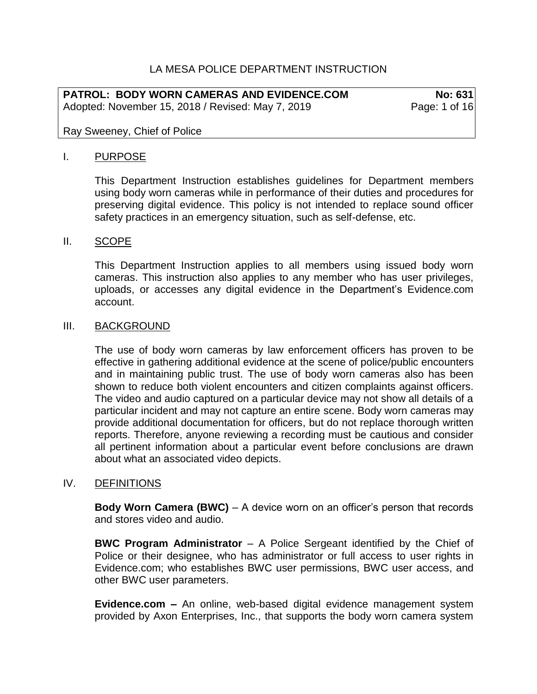# LA MESA POLICE DEPARTMENT INSTRUCTION

**PATROL: BODY WORN CAMERAS AND EVIDENCE.COM No: 631** Adopted: November 15, 2018 / Revised: May 7, 2019 Page: 1 of 16

Ray Sweeney, Chief of Police

### I. PURPOSE

This Department Instruction establishes guidelines for Department members using body worn cameras while in performance of their duties and procedures for preserving digital evidence. This policy is not intended to replace sound officer safety practices in an emergency situation, such as self-defense, etc.

### II. SCOPE

This Department Instruction applies to all members using issued body worn cameras. This instruction also applies to any member who has user privileges, uploads, or accesses any digital evidence in the Department's Evidence.com account.

#### III. BACKGROUND

The use of body worn cameras by law enforcement officers has proven to be effective in gathering additional evidence at the scene of police/public encounters and in maintaining public trust. The use of body worn cameras also has been shown to reduce both violent encounters and citizen complaints against officers. The video and audio captured on a particular device may not show all details of a particular incident and may not capture an entire scene. Body worn cameras may provide additional documentation for officers, but do not replace thorough written reports. Therefore, anyone reviewing a recording must be cautious and consider all pertinent information about a particular event before conclusions are drawn about what an associated video depicts.

## IV. DEFINITIONS

**Body Worn Camera (BWC)** – A device worn on an officer's person that records and stores video and audio.

**BWC Program Administrator** – A Police Sergeant identified by the Chief of Police or their designee, who has administrator or full access to user rights in Evidence.com; who establishes BWC user permissions, BWC user access, and other BWC user parameters.

**Evidence.com –** An online, web-based digital evidence management system provided by Axon Enterprises, Inc., that supports the body worn camera system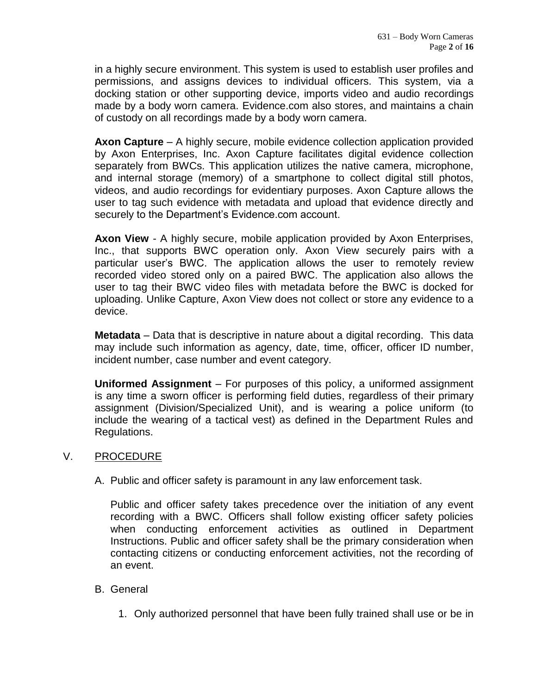in a highly secure environment. This system is used to establish user profiles and permissions, and assigns devices to individual officers. This system, via a docking station or other supporting device, imports video and audio recordings made by a body worn camera. Evidence.com also stores, and maintains a chain of custody on all recordings made by a body worn camera.

**Axon Capture** – A highly secure, mobile evidence collection application provided by Axon Enterprises, Inc. Axon Capture facilitates digital evidence collection separately from BWCs. This application utilizes the native camera, microphone, and internal storage (memory) of a smartphone to collect digital still photos, videos, and audio recordings for evidentiary purposes. Axon Capture allows the user to tag such evidence with metadata and upload that evidence directly and securely to the Department's Evidence.com account.

**Axon View** - A highly secure, mobile application provided by Axon Enterprises, Inc., that supports BWC operation only. Axon View securely pairs with a particular user's BWC. The application allows the user to remotely review recorded video stored only on a paired BWC. The application also allows the user to tag their BWC video files with metadata before the BWC is docked for uploading. Unlike Capture, Axon View does not collect or store any evidence to a device.

**Metadata** – Data that is descriptive in nature about a digital recording. This data may include such information as agency, date, time, officer, officer ID number, incident number, case number and event category.

**Uniformed Assignment** – For purposes of this policy, a uniformed assignment is any time a sworn officer is performing field duties, regardless of their primary assignment (Division/Specialized Unit), and is wearing a police uniform (to include the wearing of a tactical vest) as defined in the Department Rules and Regulations.

## V. PROCEDURE

A. Public and officer safety is paramount in any law enforcement task.

Public and officer safety takes precedence over the initiation of any event recording with a BWC. Officers shall follow existing officer safety policies when conducting enforcement activities as outlined in Department Instructions. Public and officer safety shall be the primary consideration when contacting citizens or conducting enforcement activities, not the recording of an event.

## B. General

1. Only authorized personnel that have been fully trained shall use or be in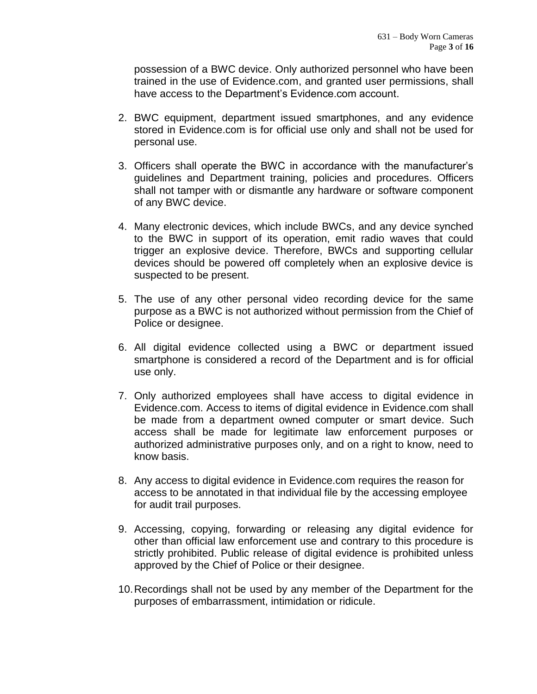possession of a BWC device. Only authorized personnel who have been trained in the use of Evidence.com, and granted user permissions, shall have access to the Department's Evidence.com account.

- 2. BWC equipment, department issued smartphones, and any evidence stored in Evidence.com is for official use only and shall not be used for personal use.
- 3. Officers shall operate the BWC in accordance with the manufacturer's guidelines and Department training, policies and procedures. Officers shall not tamper with or dismantle any hardware or software component of any BWC device.
- 4. Many electronic devices, which include BWCs, and any device synched to the BWC in support of its operation, emit radio waves that could trigger an explosive device. Therefore, BWCs and supporting cellular devices should be powered off completely when an explosive device is suspected to be present.
- 5. The use of any other personal video recording device for the same purpose as a BWC is not authorized without permission from the Chief of Police or designee.
- 6. All digital evidence collected using a BWC or department issued smartphone is considered a record of the Department and is for official use only.
- 7. Only authorized employees shall have access to digital evidence in Evidence.com. Access to items of digital evidence in Evidence.com shall be made from a department owned computer or smart device. Such access shall be made for legitimate law enforcement purposes or authorized administrative purposes only, and on a right to know, need to know basis.
- 8. Any access to digital evidence in Evidence.com requires the reason for access to be annotated in that individual file by the accessing employee for audit trail purposes.
- 9. Accessing, copying, forwarding or releasing any digital evidence for other than official law enforcement use and contrary to this procedure is strictly prohibited. Public release of digital evidence is prohibited unless approved by the Chief of Police or their designee.
- 10.Recordings shall not be used by any member of the Department for the purposes of embarrassment, intimidation or ridicule.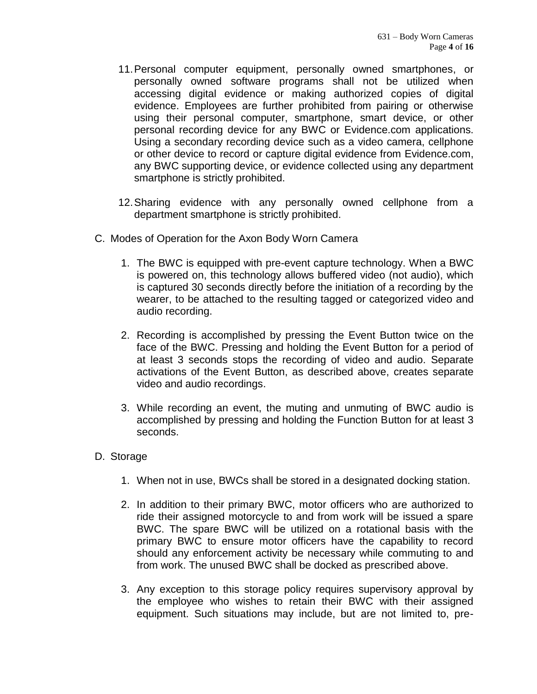- 11.Personal computer equipment, personally owned smartphones, or personally owned software programs shall not be utilized when accessing digital evidence or making authorized copies of digital evidence. Employees are further prohibited from pairing or otherwise using their personal computer, smartphone, smart device, or other personal recording device for any BWC or Evidence.com applications. Using a secondary recording device such as a video camera, cellphone or other device to record or capture digital evidence from Evidence.com, any BWC supporting device, or evidence collected using any department smartphone is strictly prohibited.
- 12.Sharing evidence with any personally owned cellphone from a department smartphone is strictly prohibited.
- C. Modes of Operation for the Axon Body Worn Camera
	- 1. The BWC is equipped with pre-event capture technology. When a BWC is powered on, this technology allows buffered video (not audio), which is captured 30 seconds directly before the initiation of a recording by the wearer, to be attached to the resulting tagged or categorized video and audio recording.
	- 2. Recording is accomplished by pressing the Event Button twice on the face of the BWC. Pressing and holding the Event Button for a period of at least 3 seconds stops the recording of video and audio. Separate activations of the Event Button, as described above, creates separate video and audio recordings.
	- 3. While recording an event, the muting and unmuting of BWC audio is accomplished by pressing and holding the Function Button for at least 3 seconds.

## D. Storage

- 1. When not in use, BWCs shall be stored in a designated docking station.
- 2. In addition to their primary BWC, motor officers who are authorized to ride their assigned motorcycle to and from work will be issued a spare BWC. The spare BWC will be utilized on a rotational basis with the primary BWC to ensure motor officers have the capability to record should any enforcement activity be necessary while commuting to and from work. The unused BWC shall be docked as prescribed above.
- 3. Any exception to this storage policy requires supervisory approval by the employee who wishes to retain their BWC with their assigned equipment. Such situations may include, but are not limited to, pre-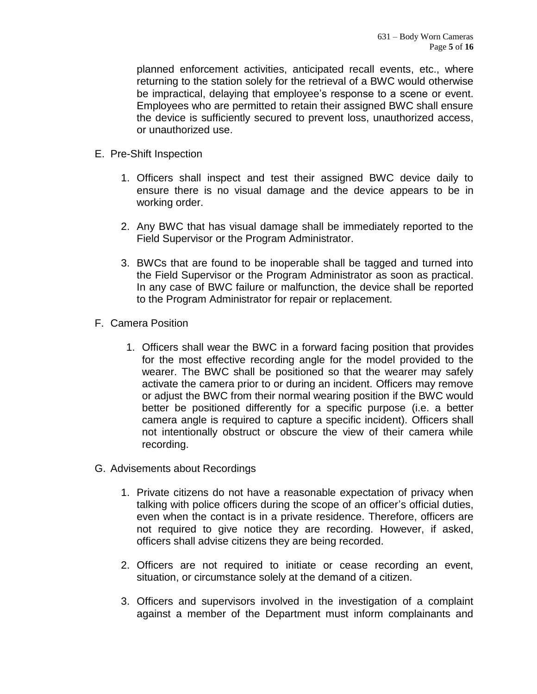planned enforcement activities, anticipated recall events, etc., where returning to the station solely for the retrieval of a BWC would otherwise be impractical, delaying that employee's response to a scene or event. Employees who are permitted to retain their assigned BWC shall ensure the device is sufficiently secured to prevent loss, unauthorized access, or unauthorized use.

- E. Pre-Shift Inspection
	- 1. Officers shall inspect and test their assigned BWC device daily to ensure there is no visual damage and the device appears to be in working order.
	- 2. Any BWC that has visual damage shall be immediately reported to the Field Supervisor or the Program Administrator.
	- 3. BWCs that are found to be inoperable shall be tagged and turned into the Field Supervisor or the Program Administrator as soon as practical. In any case of BWC failure or malfunction, the device shall be reported to the Program Administrator for repair or replacement.
- F. Camera Position
	- 1. Officers shall wear the BWC in a forward facing position that provides for the most effective recording angle for the model provided to the wearer. The BWC shall be positioned so that the wearer may safely activate the camera prior to or during an incident. Officers may remove or adjust the BWC from their normal wearing position if the BWC would better be positioned differently for a specific purpose (i.e. a better camera angle is required to capture a specific incident). Officers shall not intentionally obstruct or obscure the view of their camera while recording.
- G. Advisements about Recordings
	- 1. Private citizens do not have a reasonable expectation of privacy when talking with police officers during the scope of an officer's official duties, even when the contact is in a private residence. Therefore, officers are not required to give notice they are recording. However, if asked, officers shall advise citizens they are being recorded.
	- 2. Officers are not required to initiate or cease recording an event, situation, or circumstance solely at the demand of a citizen.
	- 3. Officers and supervisors involved in the investigation of a complaint against a member of the Department must inform complainants and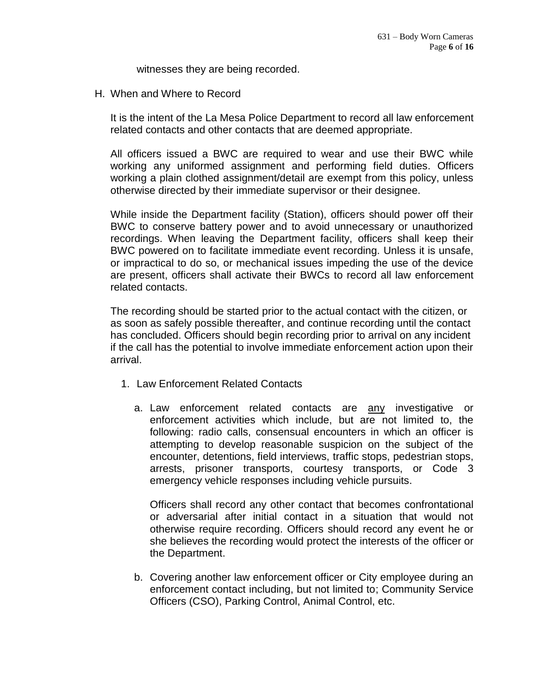witnesses they are being recorded.

H. When and Where to Record

It is the intent of the La Mesa Police Department to record all law enforcement related contacts and other contacts that are deemed appropriate.

All officers issued a BWC are required to wear and use their BWC while working any uniformed assignment and performing field duties. Officers working a plain clothed assignment/detail are exempt from this policy, unless otherwise directed by their immediate supervisor or their designee.

While inside the Department facility (Station), officers should power off their BWC to conserve battery power and to avoid unnecessary or unauthorized recordings. When leaving the Department facility, officers shall keep their BWC powered on to facilitate immediate event recording. Unless it is unsafe, or impractical to do so, or mechanical issues impeding the use of the device are present, officers shall activate their BWCs to record all law enforcement related contacts.

The recording should be started prior to the actual contact with the citizen, or as soon as safely possible thereafter, and continue recording until the contact has concluded. Officers should begin recording prior to arrival on any incident if the call has the potential to involve immediate enforcement action upon their arrival.

- 1. Law Enforcement Related Contacts
	- a. Law enforcement related contacts are any investigative or enforcement activities which include, but are not limited to, the following: radio calls, consensual encounters in which an officer is attempting to develop reasonable suspicion on the subject of the encounter, detentions, field interviews, traffic stops, pedestrian stops, arrests, prisoner transports, courtesy transports, or Code 3 emergency vehicle responses including vehicle pursuits.

Officers shall record any other contact that becomes confrontational or adversarial after initial contact in a situation that would not otherwise require recording. Officers should record any event he or she believes the recording would protect the interests of the officer or the Department.

b. Covering another law enforcement officer or City employee during an enforcement contact including, but not limited to; Community Service Officers (CSO), Parking Control, Animal Control, etc.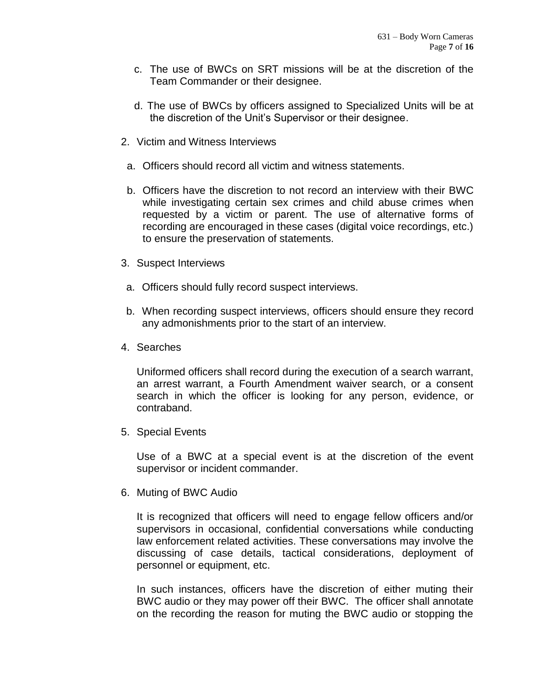- c. The use of BWCs on SRT missions will be at the discretion of the Team Commander or their designee.
- d. The use of BWCs by officers assigned to Specialized Units will be at the discretion of the Unit's Supervisor or their designee.
- 2. Victim and Witness Interviews
	- a. Officers should record all victim and witness statements.
	- b. Officers have the discretion to not record an interview with their BWC while investigating certain sex crimes and child abuse crimes when requested by a victim or parent. The use of alternative forms of recording are encouraged in these cases (digital voice recordings, etc.) to ensure the preservation of statements.
- 3. Suspect Interviews
- a. Officers should fully record suspect interviews.
- b. When recording suspect interviews, officers should ensure they record any admonishments prior to the start of an interview.
- 4. Searches

Uniformed officers shall record during the execution of a search warrant, an arrest warrant, a Fourth Amendment waiver search, or a consent search in which the officer is looking for any person, evidence, or contraband.

5. Special Events

Use of a BWC at a special event is at the discretion of the event supervisor or incident commander.

6. Muting of BWC Audio

It is recognized that officers will need to engage fellow officers and/or supervisors in occasional, confidential conversations while conducting law enforcement related activities. These conversations may involve the discussing of case details, tactical considerations, deployment of personnel or equipment, etc.

In such instances, officers have the discretion of either muting their BWC audio or they may power off their BWC. The officer shall annotate on the recording the reason for muting the BWC audio or stopping the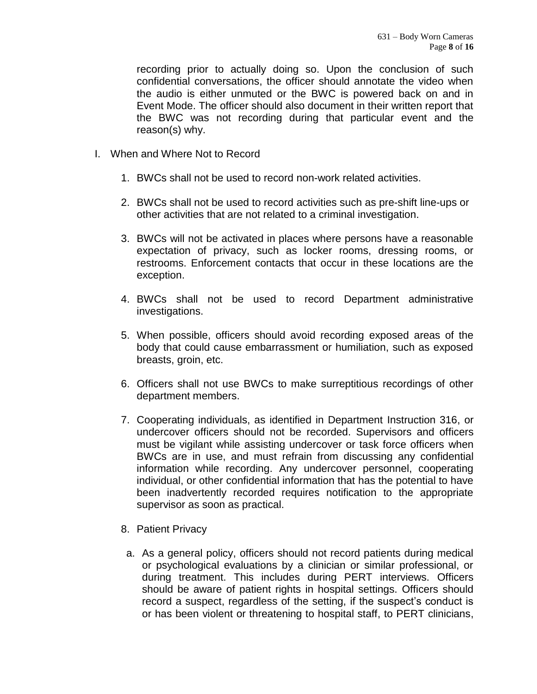recording prior to actually doing so. Upon the conclusion of such confidential conversations, the officer should annotate the video when the audio is either unmuted or the BWC is powered back on and in Event Mode. The officer should also document in their written report that the BWC was not recording during that particular event and the reason(s) why.

- I. When and Where Not to Record
	- 1. BWCs shall not be used to record non-work related activities.
	- 2. BWCs shall not be used to record activities such as pre-shift line-ups or other activities that are not related to a criminal investigation.
	- 3. BWCs will not be activated in places where persons have a reasonable expectation of privacy, such as locker rooms, dressing rooms, or restrooms. Enforcement contacts that occur in these locations are the exception.
	- 4. BWCs shall not be used to record Department administrative investigations.
	- 5. When possible, officers should avoid recording exposed areas of the body that could cause embarrassment or humiliation, such as exposed breasts, groin, etc.
	- 6. Officers shall not use BWCs to make surreptitious recordings of other department members.
	- 7. Cooperating individuals, as identified in Department Instruction 316, or undercover officers should not be recorded. Supervisors and officers must be vigilant while assisting undercover or task force officers when BWCs are in use, and must refrain from discussing any confidential information while recording. Any undercover personnel, cooperating individual, or other confidential information that has the potential to have been inadvertently recorded requires notification to the appropriate supervisor as soon as practical.
	- 8. Patient Privacy
	- a. As a general policy, officers should not record patients during medical or psychological evaluations by a clinician or similar professional, or during treatment. This includes during PERT interviews. Officers should be aware of patient rights in hospital settings. Officers should record a suspect, regardless of the setting, if the suspect's conduct is or has been violent or threatening to hospital staff, to PERT clinicians,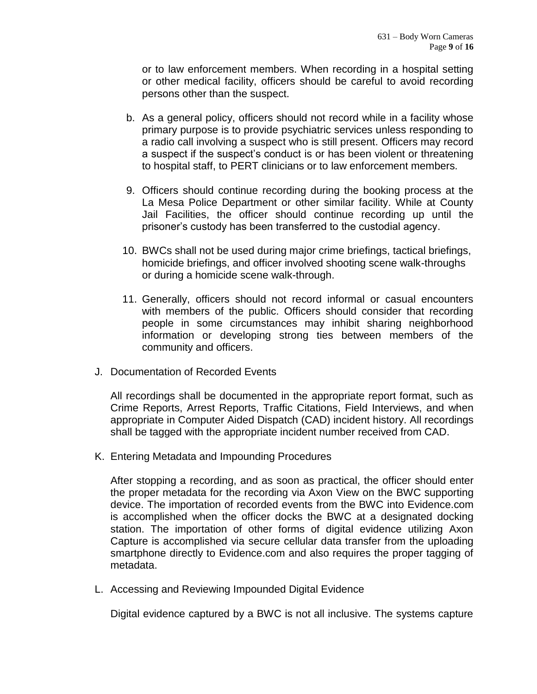or to law enforcement members. When recording in a hospital setting or other medical facility, officers should be careful to avoid recording persons other than the suspect.

- b. As a general policy, officers should not record while in a facility whose primary purpose is to provide psychiatric services unless responding to a radio call involving a suspect who is still present. Officers may record a suspect if the suspect's conduct is or has been violent or threatening to hospital staff, to PERT clinicians or to law enforcement members.
- 9. Officers should continue recording during the booking process at the La Mesa Police Department or other similar facility. While at County Jail Facilities, the officer should continue recording up until the prisoner's custody has been transferred to the custodial agency.
- 10. BWCs shall not be used during major crime briefings, tactical briefings, homicide briefings, and officer involved shooting scene walk-throughs or during a homicide scene walk-through.
- 11. Generally, officers should not record informal or casual encounters with members of the public. Officers should consider that recording people in some circumstances may inhibit sharing neighborhood information or developing strong ties between members of the community and officers.
- J. Documentation of Recorded Events

All recordings shall be documented in the appropriate report format, such as Crime Reports, Arrest Reports, Traffic Citations, Field Interviews, and when appropriate in Computer Aided Dispatch (CAD) incident history. All recordings shall be tagged with the appropriate incident number received from CAD.

K. Entering Metadata and Impounding Procedures

After stopping a recording, and as soon as practical, the officer should enter the proper metadata for the recording via Axon View on the BWC supporting device. The importation of recorded events from the BWC into Evidence.com is accomplished when the officer docks the BWC at a designated docking station. The importation of other forms of digital evidence utilizing Axon Capture is accomplished via secure cellular data transfer from the uploading smartphone directly to Evidence.com and also requires the proper tagging of metadata.

L. Accessing and Reviewing Impounded Digital Evidence

Digital evidence captured by a BWC is not all inclusive. The systems capture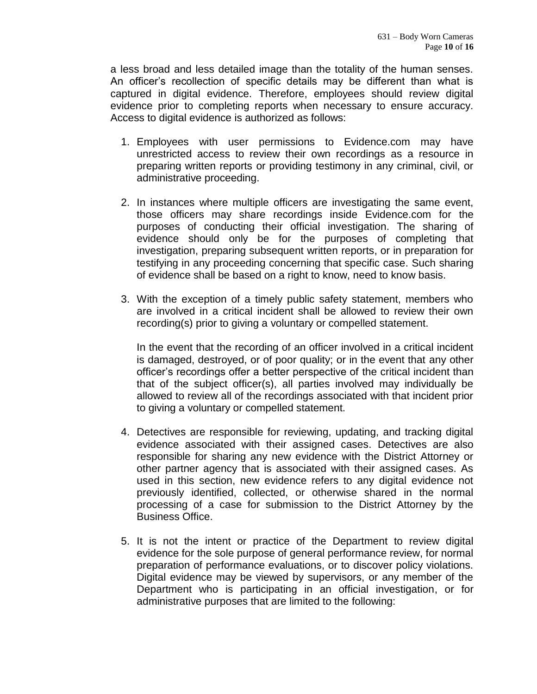a less broad and less detailed image than the totality of the human senses. An officer's recollection of specific details may be different than what is captured in digital evidence. Therefore, employees should review digital evidence prior to completing reports when necessary to ensure accuracy. Access to digital evidence is authorized as follows:

- 1. Employees with user permissions to Evidence.com may have unrestricted access to review their own recordings as a resource in preparing written reports or providing testimony in any criminal, civil, or administrative proceeding.
- 2. In instances where multiple officers are investigating the same event, those officers may share recordings inside Evidence.com for the purposes of conducting their official investigation. The sharing of evidence should only be for the purposes of completing that investigation, preparing subsequent written reports, or in preparation for testifying in any proceeding concerning that specific case. Such sharing of evidence shall be based on a right to know, need to know basis.
- 3. With the exception of a timely public safety statement, members who are involved in a critical incident shall be allowed to review their own recording(s) prior to giving a voluntary or compelled statement.

In the event that the recording of an officer involved in a critical incident is damaged, destroyed, or of poor quality; or in the event that any other officer's recordings offer a better perspective of the critical incident than that of the subject officer(s), all parties involved may individually be allowed to review all of the recordings associated with that incident prior to giving a voluntary or compelled statement.

- 4. Detectives are responsible for reviewing, updating, and tracking digital evidence associated with their assigned cases. Detectives are also responsible for sharing any new evidence with the District Attorney or other partner agency that is associated with their assigned cases. As used in this section, new evidence refers to any digital evidence not previously identified, collected, or otherwise shared in the normal processing of a case for submission to the District Attorney by the Business Office.
- 5. It is not the intent or practice of the Department to review digital evidence for the sole purpose of general performance review, for normal preparation of performance evaluations, or to discover policy violations. Digital evidence may be viewed by supervisors, or any member of the Department who is participating in an official investigation, or for administrative purposes that are limited to the following: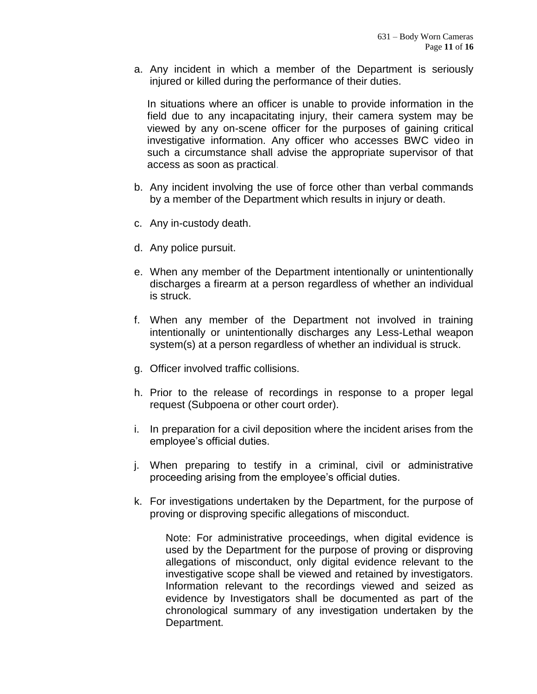a. Any incident in which a member of the Department is seriously injured or killed during the performance of their duties.

In situations where an officer is unable to provide information in the field due to any incapacitating injury, their camera system may be viewed by any on-scene officer for the purposes of gaining critical investigative information. Any officer who accesses BWC video in such a circumstance shall advise the appropriate supervisor of that access as soon as practical.

- b. Any incident involving the use of force other than verbal commands by a member of the Department which results in injury or death.
- c. Any in-custody death.
- d. Any police pursuit.
- e. When any member of the Department intentionally or unintentionally discharges a firearm at a person regardless of whether an individual is struck.
- f. When any member of the Department not involved in training intentionally or unintentionally discharges any Less-Lethal weapon system(s) at a person regardless of whether an individual is struck.
- g. Officer involved traffic collisions.
- h. Prior to the release of recordings in response to a proper legal request (Subpoena or other court order).
- i. In preparation for a civil deposition where the incident arises from the employee's official duties.
- j. When preparing to testify in a criminal, civil or administrative proceeding arising from the employee's official duties.
- k. For investigations undertaken by the Department, for the purpose of proving or disproving specific allegations of misconduct.

Note: For administrative proceedings, when digital evidence is used by the Department for the purpose of proving or disproving allegations of misconduct, only digital evidence relevant to the investigative scope shall be viewed and retained by investigators. Information relevant to the recordings viewed and seized as evidence by Investigators shall be documented as part of the chronological summary of any investigation undertaken by the Department.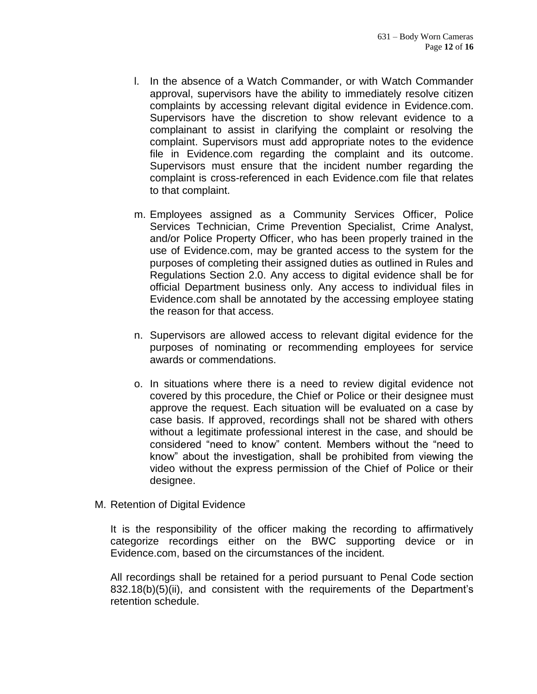- l. In the absence of a Watch Commander, or with Watch Commander approval, supervisors have the ability to immediately resolve citizen complaints by accessing relevant digital evidence in Evidence.com. Supervisors have the discretion to show relevant evidence to a complainant to assist in clarifying the complaint or resolving the complaint. Supervisors must add appropriate notes to the evidence file in Evidence.com regarding the complaint and its outcome. Supervisors must ensure that the incident number regarding the complaint is cross-referenced in each Evidence.com file that relates to that complaint.
- m. Employees assigned as a Community Services Officer, Police Services Technician, Crime Prevention Specialist, Crime Analyst, and/or Police Property Officer, who has been properly trained in the use of Evidence.com, may be granted access to the system for the purposes of completing their assigned duties as outlined in Rules and Regulations Section 2.0. Any access to digital evidence shall be for official Department business only. Any access to individual files in Evidence.com shall be annotated by the accessing employee stating the reason for that access.
- n. Supervisors are allowed access to relevant digital evidence for the purposes of nominating or recommending employees for service awards or commendations.
- o. In situations where there is a need to review digital evidence not covered by this procedure, the Chief or Police or their designee must approve the request. Each situation will be evaluated on a case by case basis. If approved, recordings shall not be shared with others without a legitimate professional interest in the case, and should be considered "need to know" content. Members without the "need to know" about the investigation, shall be prohibited from viewing the video without the express permission of the Chief of Police or their designee.
- M. Retention of Digital Evidence

It is the responsibility of the officer making the recording to affirmatively categorize recordings either on the BWC supporting device or in Evidence.com, based on the circumstances of the incident.

All recordings shall be retained for a period pursuant to Penal Code section 832.18(b)(5)(ii), and consistent with the requirements of the Department's retention schedule.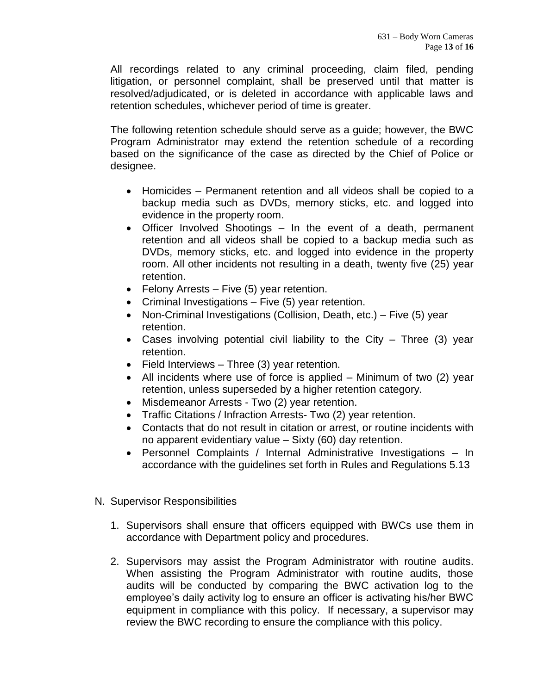All recordings related to any criminal proceeding, claim filed, pending litigation, or personnel complaint, shall be preserved until that matter is resolved/adjudicated, or is deleted in accordance with applicable laws and retention schedules, whichever period of time is greater.

The following retention schedule should serve as a guide; however, the BWC Program Administrator may extend the retention schedule of a recording based on the significance of the case as directed by the Chief of Police or designee.

- Homicides Permanent retention and all videos shall be copied to a backup media such as DVDs, memory sticks, etc. and logged into evidence in the property room.
- Officer Involved Shootings In the event of a death, permanent retention and all videos shall be copied to a backup media such as DVDs, memory sticks, etc. and logged into evidence in the property room. All other incidents not resulting in a death, twenty five (25) year retention.
- Felony Arrests Five (5) year retention.
- Criminal Investigations Five (5) year retention.
- Non-Criminal Investigations (Collision, Death, etc.) Five (5) year retention.
- Cases involving potential civil liability to the City Three (3) year retention.
- Field Interviews Three (3) year retention.
- All incidents where use of force is applied Minimum of two (2) year retention, unless superseded by a higher retention category.
- Misdemeanor Arrests Two (2) year retention.
- Traffic Citations / Infraction Arrests- Two (2) year retention.
- Contacts that do not result in citation or arrest, or routine incidents with no apparent evidentiary value – Sixty (60) day retention.
- Personnel Complaints / Internal Administrative Investigations In accordance with the guidelines set forth in Rules and Regulations 5.13
- N. Supervisor Responsibilities
	- 1. Supervisors shall ensure that officers equipped with BWCs use them in accordance with Department policy and procedures.
	- 2. Supervisors may assist the Program Administrator with routine audits. When assisting the Program Administrator with routine audits, those audits will be conducted by comparing the BWC activation log to the employee's daily activity log to ensure an officer is activating his/her BWC equipment in compliance with this policy. If necessary, a supervisor may review the BWC recording to ensure the compliance with this policy.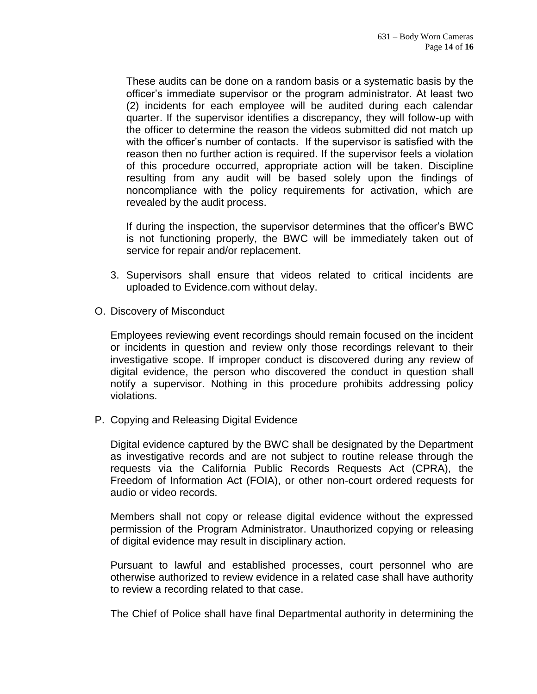These audits can be done on a random basis or a systematic basis by the officer's immediate supervisor or the program administrator. At least two (2) incidents for each employee will be audited during each calendar quarter. If the supervisor identifies a discrepancy, they will follow-up with the officer to determine the reason the videos submitted did not match up with the officer's number of contacts. If the supervisor is satisfied with the reason then no further action is required. If the supervisor feels a violation of this procedure occurred, appropriate action will be taken. Discipline resulting from any audit will be based solely upon the findings of noncompliance with the policy requirements for activation, which are revealed by the audit process.

If during the inspection, the supervisor determines that the officer's BWC is not functioning properly, the BWC will be immediately taken out of service for repair and/or replacement.

- 3. Supervisors shall ensure that videos related to critical incidents are uploaded to Evidence.com without delay.
- O. Discovery of Misconduct

Employees reviewing event recordings should remain focused on the incident or incidents in question and review only those recordings relevant to their investigative scope. If improper conduct is discovered during any review of digital evidence, the person who discovered the conduct in question shall notify a supervisor. Nothing in this procedure prohibits addressing policy violations.

P. Copying and Releasing Digital Evidence

Digital evidence captured by the BWC shall be designated by the Department as investigative records and are not subject to routine release through the requests via the California Public Records Requests Act (CPRA), the Freedom of Information Act (FOIA), or other non-court ordered requests for audio or video records.

Members shall not copy or release digital evidence without the expressed permission of the Program Administrator. Unauthorized copying or releasing of digital evidence may result in disciplinary action.

Pursuant to lawful and established processes, court personnel who are otherwise authorized to review evidence in a related case shall have authority to review a recording related to that case.

The Chief of Police shall have final Departmental authority in determining the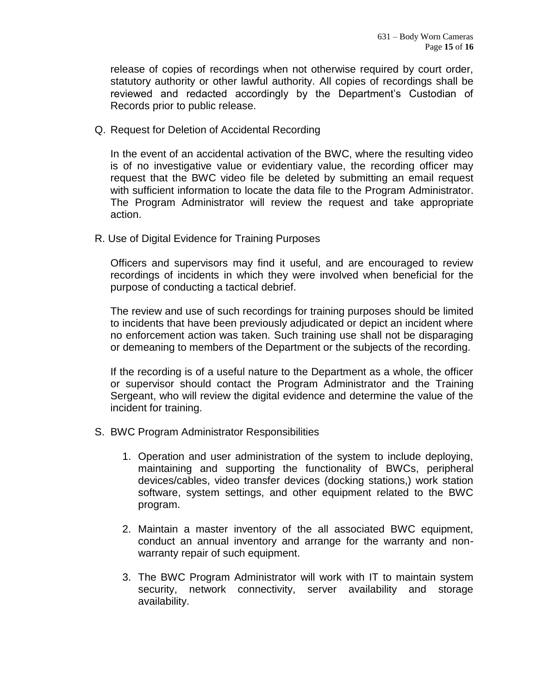release of copies of recordings when not otherwise required by court order, statutory authority or other lawful authority. All copies of recordings shall be reviewed and redacted accordingly by the Department's Custodian of Records prior to public release.

Q. Request for Deletion of Accidental Recording

In the event of an accidental activation of the BWC, where the resulting video is of no investigative value or evidentiary value, the recording officer may request that the BWC video file be deleted by submitting an email request with sufficient information to locate the data file to the Program Administrator. The Program Administrator will review the request and take appropriate action.

R. Use of Digital Evidence for Training Purposes

Officers and supervisors may find it useful, and are encouraged to review recordings of incidents in which they were involved when beneficial for the purpose of conducting a tactical debrief.

The review and use of such recordings for training purposes should be limited to incidents that have been previously adjudicated or depict an incident where no enforcement action was taken. Such training use shall not be disparaging or demeaning to members of the Department or the subjects of the recording.

If the recording is of a useful nature to the Department as a whole, the officer or supervisor should contact the Program Administrator and the Training Sergeant, who will review the digital evidence and determine the value of the incident for training.

- S. BWC Program Administrator Responsibilities
	- 1. Operation and user administration of the system to include deploying, maintaining and supporting the functionality of BWCs, peripheral devices/cables, video transfer devices (docking stations,) work station software, system settings, and other equipment related to the BWC program.
	- 2. Maintain a master inventory of the all associated BWC equipment, conduct an annual inventory and arrange for the warranty and nonwarranty repair of such equipment.
	- 3. The BWC Program Administrator will work with IT to maintain system security, network connectivity, server availability and storage availability.